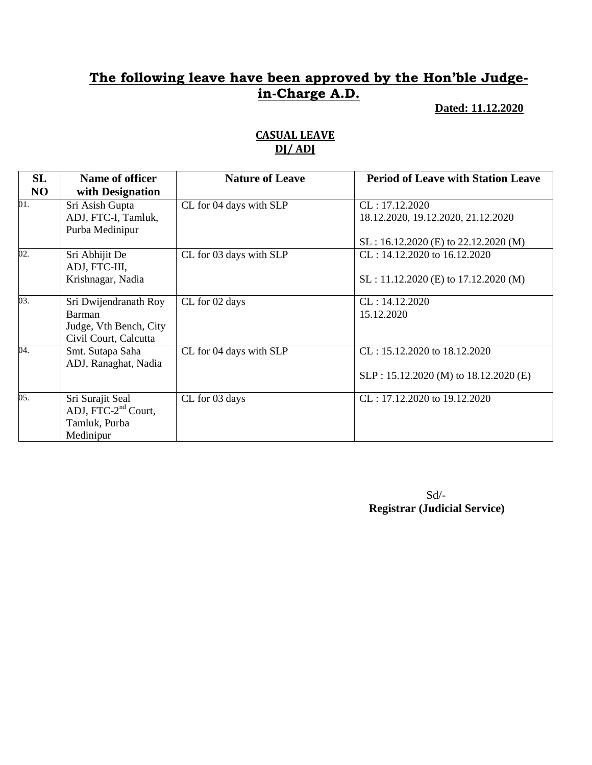### **Dated: 11.12.2020**

| SL                | Name of officer                                                                    | <b>Nature of Leave</b>  | <b>Period of Leave with Station Leave</b>                                                      |
|-------------------|------------------------------------------------------------------------------------|-------------------------|------------------------------------------------------------------------------------------------|
| NO                | with Designation                                                                   |                         |                                                                                                |
| 01.               | Sri Asish Gupta<br>ADJ, FTC-I, Tamluk,<br>Purba Medinipur                          | CL for 04 days with SLP | CL: 17.12.2020<br>18.12.2020, 19.12.2020, 21.12.2020<br>$SL: 16.12.2020$ (E) to 22.12.2020 (M) |
| $\overline{02}$ . | Sri Abhijit De<br>ADJ, FTC-III,<br>Krishnagar, Nadia                               | CL for 03 days with SLP | CL: 14.12.2020 to 16.12.2020<br>$SL: 11.12.2020$ (E) to 17.12.2020 (M)                         |
| 03.               | Sri Dwijendranath Roy<br>Barman<br>Judge, Vth Bench, City<br>Civil Court, Calcutta | CL for 02 days          | CL: 14.12.2020<br>15.12.2020                                                                   |
| 04.               | Smt. Sutapa Saha<br>ADJ, Ranaghat, Nadia                                           | CL for 04 days with SLP | CL: 15.12.2020 to 18.12.2020<br>SLP: 15.12.2020 (M) to 18.12.2020 (E)                          |
| 05.               | Sri Surajit Seal<br>ADJ, FTC-2 <sup>nd</sup> Court,<br>Tamluk, Purba<br>Medinipur  | CL for 03 days          | $CL: 17.12.2020$ to $19.12.2020$                                                               |

### **CASUAL LEAVE DJ/ ADJ**

 Sd/- **Registrar (Judicial Service)**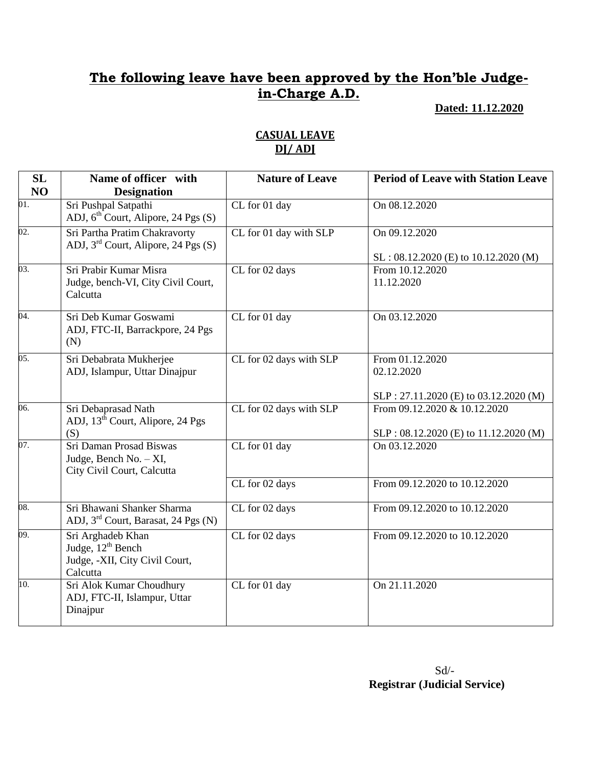### **Dated: 11.12.2020**

| <b>SL</b><br>NO   | Name of officer with<br><b>Designation</b>                                                       | <b>Nature of Leave</b>  | <b>Period of Leave with Station Leave</b>                              |
|-------------------|--------------------------------------------------------------------------------------------------|-------------------------|------------------------------------------------------------------------|
| 01.               | Sri Pushpal Satpathi<br>ADJ, $6th$ Court, Alipore, 24 Pgs (S)                                    | CL for 01 day           | On 08.12.2020                                                          |
| 02.               | Sri Partha Pratim Chakravorty<br>ADJ, $3^{rd}$ Court, Alipore, 24 Pgs (S)                        | CL for 01 day with SLP  | On 09.12.2020<br>SL: 08.12.2020 (E) to 10.12.2020 (M)                  |
| $\overline{03}$ . | Sri Prabir Kumar Misra<br>Judge, bench-VI, City Civil Court,<br>Calcutta                         | CL for 02 days          | From 10.12.2020<br>11.12.2020                                          |
| 04.               | Sri Deb Kumar Goswami<br>ADJ, FTC-II, Barrackpore, 24 Pgs<br>(N)                                 | CL for 01 day           | On 03.12.2020                                                          |
| 05.               | Sri Debabrata Mukherjee<br>ADJ, Islampur, Uttar Dinajpur                                         | CL for 02 days with SLP | From 01.12.2020<br>02.12.2020<br>SLP: 27.11.2020 (E) to 03.12.2020 (M) |
| 06.               | Sri Debaprasad Nath<br>ADJ, 13 <sup>th</sup> Court, Alipore, 24 Pgs<br>(S)                       | CL for 02 days with SLP | From 09.12.2020 & 10.12.2020<br>SLP: 08.12.2020 (E) to 11.12.2020 (M)  |
| 07.               | Sri Daman Prosad Biswas<br>Judge, Bench No. - XI,<br>City Civil Court, Calcutta                  | CL for 01 day           | On 03.12.2020                                                          |
|                   |                                                                                                  | CL for 02 days          | From 09.12.2020 to 10.12.2020                                          |
| 08.               | Sri Bhawani Shanker Sharma<br>ADJ, 3 <sup>rd</sup> Court, Barasat, 24 Pgs (N)                    | CL for 02 days          | From 09.12.2020 to 10.12.2020                                          |
| 09.               | Sri Arghadeb Khan<br>Judge, 12 <sup>th</sup> Bench<br>Judge, -XII, City Civil Court,<br>Calcutta | CL for 02 days          | From 09.12.2020 to 10.12.2020                                          |
| 10.               | Sri Alok Kumar Choudhury<br>ADJ, FTC-II, Islampur, Uttar<br>Dinajpur                             | CL for 01 day           | On 21.11.2020                                                          |

### **CASUAL LEAVE DJ/ ADJ**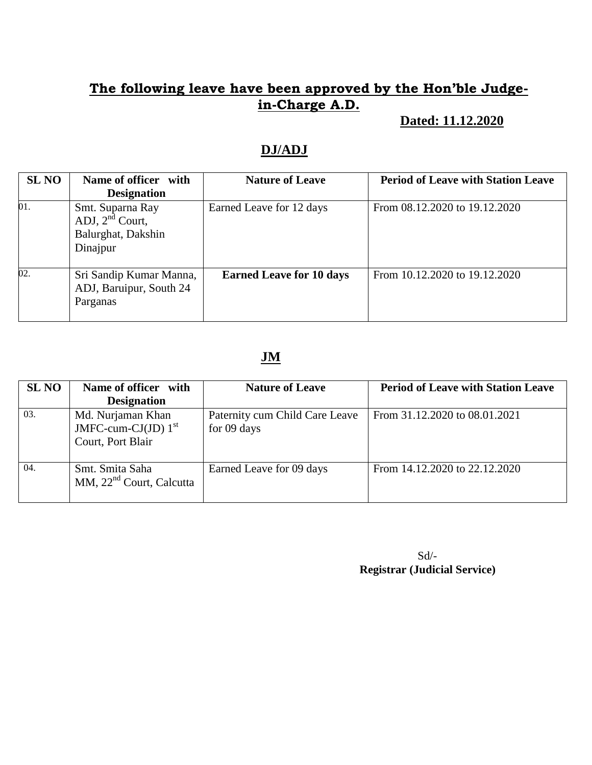### **Dated: 11.12.2020**

## **DJ/ADJ**

| <b>SL NO</b> | Name of officer with<br><b>Designation</b>                                 | <b>Nature of Leave</b>          | <b>Period of Leave with Station Leave</b> |
|--------------|----------------------------------------------------------------------------|---------------------------------|-------------------------------------------|
| 01.          | Smt. Suparna Ray<br>ADJ, $2^{nd}$ Court,<br>Balurghat, Dakshin<br>Dinajpur | Earned Leave for 12 days        | From 08.12.2020 to 19.12.2020             |
| 02.          | Sri Sandip Kumar Manna,<br>ADJ, Baruipur, South 24<br>Parganas             | <b>Earned Leave for 10 days</b> | From 10.12.2020 to 19.12.2020             |

## **JM**

| <b>SL NO</b> | Name of officer with                                            | <b>Nature of Leave</b>                        | <b>Period of Leave with Station Leave</b> |
|--------------|-----------------------------------------------------------------|-----------------------------------------------|-------------------------------------------|
|              | <b>Designation</b>                                              |                                               |                                           |
| 03.          | Md. Nurjaman Khan<br>JMFC-cum-CJ(JD) $1st$<br>Court, Port Blair | Paternity cum Child Care Leave<br>for 09 days | From 31.12.2020 to 08.01.2021             |
| 04.          | Smt. Smita Saha<br>MM, $22nd$ Court, Calcutta                   | Earned Leave for 09 days                      | From 14.12.2020 to 22.12.2020             |

 Sd/-  **Registrar (Judicial Service)**